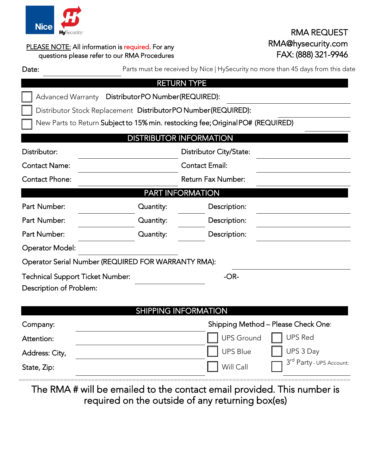

| -----<br><b>Hy</b> Security* |                                                                                                   | <b>RMA REQUEST</b>                                                              |  |
|------------------------------|---------------------------------------------------------------------------------------------------|---------------------------------------------------------------------------------|--|
|                              | PLEASE NOTE: All information is required. For any<br>questions please refer to our RMA Procedures | RMA@hysecurity.com<br>FAX: (888) 321-9946                                       |  |
| Date:                        |                                                                                                   | Parts must be received by Nice   HySecurity no more than 45 days from this date |  |

|                                                               |                           | <b>RETURN TYPE</b>                                                              |  |  |  |
|---------------------------------------------------------------|---------------------------|---------------------------------------------------------------------------------|--|--|--|
| Advanced Warranty DistributorPO Number(REQUIRED):             |                           |                                                                                 |  |  |  |
| Distributor Stock Replacement DistributorPO Number(REQUIRED): |                           |                                                                                 |  |  |  |
|                                                               |                           | New Parts to Return Subject to 15% min. restocking fee; Original PO# (REQUIRED) |  |  |  |
|                                                               |                           | <b>DISTRIBUTOR INFORMATION</b>                                                  |  |  |  |
| Distributor:                                                  | Distributor City/State:   |                                                                                 |  |  |  |
| <b>Contact Name:</b>                                          | <b>Contact Email:</b>     |                                                                                 |  |  |  |
| <b>Contact Phone:</b>                                         | <b>Return Fax Number:</b> |                                                                                 |  |  |  |
| <b>PART INFORMATION</b>                                       |                           |                                                                                 |  |  |  |
| Part Number:                                                  | Quantity:                 | Description:                                                                    |  |  |  |
| Part Number:                                                  | Quantity:                 | Description:                                                                    |  |  |  |
| Part Number:                                                  | Quantity:                 | Description:                                                                    |  |  |  |
| <b>Operator Model:</b>                                        |                           |                                                                                 |  |  |  |
| Operator Serial Number (REQUIRED FOR WARRANTY RMA):           |                           |                                                                                 |  |  |  |
| Technical Support Ticket Number:                              |                           | $-OR-$                                                                          |  |  |  |
| Description of Problem:                                       |                           |                                                                                 |  |  |  |
|                                                               |                           |                                                                                 |  |  |  |
|                                                               |                           | <b>SHIPPING INFORMATION</b>                                                     |  |  |  |

| Company:       | Shipping Method - Please Check One: |                          |
|----------------|-------------------------------------|--------------------------|
| Attention:     | UPS Ground   UPS Red                |                          |
| Address: City, | UPS Blue                            | $\Box$ UPS 3 Day         |
| State, Zip:    | Will Call                           | 3rd Party - UPS Account: |

The RMA # will be emailed to the contact email provided. This number is required on the outside of any returning box(es)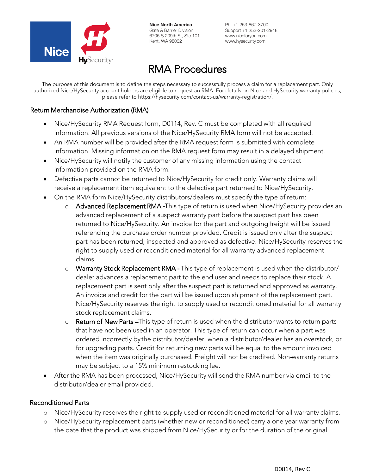

Nice North America Gate & Barrier Division 6705 S 209th St, Ste 101 Kent, WA 98032

Ph. +1 253-867-3700 Support +1 253-201-2918 www.niceforyou.com www.hysecurity.com

# RMA Procedures

The purpose of this document is to define the steps necessary to successfully process a claim for a replacement part. Only authorized Nice/HySecurity account holders are eligible to request an RMA. For details on Nice and HySecurity warranty policies, please refer to https://hysecurity.com/contact-us/warranty-registration/.

#### Return Merchandise Authorization (RMA)

- Nice/HySecurity RMA Request form, D0114, Rev. C must be completed with all required information. All previous versions of the Nice/HySecurity RMA form will not be accepted.
- An RMA number will be provided after the RMA request form is submitted with complete information. Missing information on the RMA request form may result in a delayed shipment.
- Nice/HySecurity will notify the customer of any missing information using the contact information provided on the RMA form.
- Defective parts cannot be returned to Nice/HySecurity for credit only. Warranty claims will receive a replacement item equivalent to the defective part returned to Nice/HySecurity.
- On the RMA form Nice/HySecurity distributors/dealers must specify the type of return:
	- o Advanced Replacement RMA **‐**This type of return is used when Nice/HySecurity provides an advanced replacement of a suspect warranty part before the suspect part has been returned to Nice/HySecurity. An invoice for the part and outgoing freight will be issued referencing the purchase order number provided. Credit is issued only after the suspect part has been returned, inspected and approved as defective. Nice/HySecurity reserves the right to supply used or reconditioned material for all warranty advanced replacement claims.
	- o Warranty Stock Replacement RMA **‐** This type of replacement is used when the distributor/ dealer advances a replacement part to the end user and needs to replace their stock. A replacement part is sent only after the suspect part is returned and approved as warranty. An invoice and credit for the part will be issued upon shipment of the replacement part. Nice/HySecurity reserves the right to supply used or reconditioned material for all warranty stock replacement claims.
	- o Return of New Parts –This type of return is used when the distributor wants to return parts that have not been used in an operator. This type of return can occur when a part was ordered incorrectly by the distributor/dealer, when a distributor/dealer has an overstock, or for upgrading parts. Credit for returning new parts will be equal to the amount invoiced when the item was originally purchased. Freight will not be credited. Non-warranty returns may be subject to a 15% minimum restocking fee.
- After the RMA has been processed, Nice/HySecurity will send the RMA number via email to the distributor/dealer email provided.

#### Reconditioned Parts

- o Nice/HySecurity reserves the right to supply used or reconditioned material for all warranty claims.
- o Nice/HySecurity replacement parts (whether new or reconditioned) carry a one year warranty from the date that the product was shipped from Nice/HySecurity or for the duration of the original